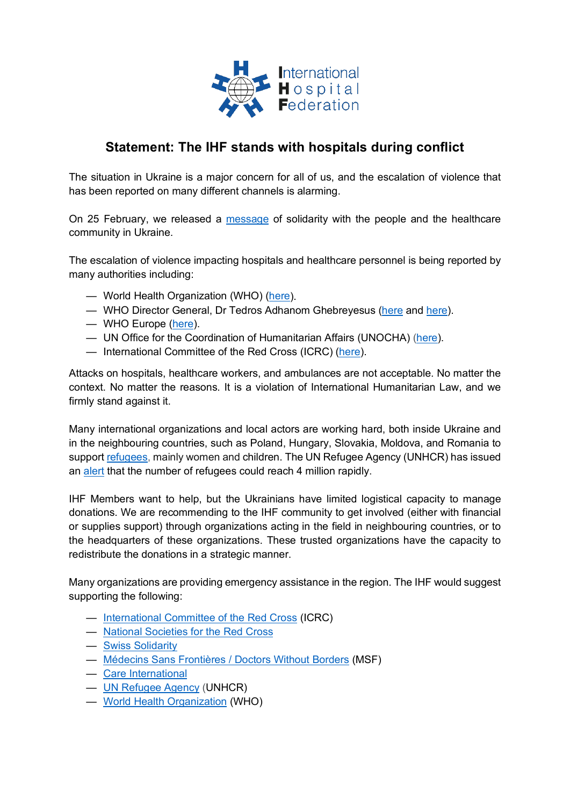

## **Statement: The IHF stands with hospitals during conflict**

The situation in Ukraine is a major concern for all of us, and the escalation of violence that has been reported on many different channels is alarming.

On 25 February, we released a [message](https://www.ihf-fih.org/download_doc_file.php?doc=3c7c30a8ed9575766703573f6d7eedca) of solidarity with the people and the healthcare community in Ukraine.

The escalation of violence impacting hospitals and healthcare personnel is being reported by many authorities including:

- World Health Organization (WHO) [\(here\)](https://extranet.who.int/ssa/Index.aspx).
- WHO Director General, Dr Tedros Adhanom Ghebreyesus [\(here](https://www.aa.com.tr/en/europe/who-deeply-concerned-over-reports-of-attacks-on-hospitals-in-ukraine/2521535?mc_phishing_protection_id=28047-c8guudidu81bf197agmg) and [here\)](https://www.swissinfo.ch/eng/ukraine-health-centres-have-been-attacked--who-chief-says/47406762).
- WHO Europe [\(here\)](https://www.euro.who.int/en/countries/ukraine/news/news/2022/3/running-a-hospital-while-your-country-is-under-attack-a-story-from-western-ukraine).
- UN Office for the Coordination of Humanitarian Affairs (UNOCHA) [\(here\)](https://www.unocha.org/ukraine).
- International Committee of the Red Cross (ICRC) [\(here\)](https://www.icrc.org/en/where-we-work/europe-central-asia/ukraine).

Attacks on hospitals, healthcare workers, and ambulances are not acceptable. No matter the context. No matter the reasons. It is a violation of International Humanitarian Law, and we firmly stand against it.

Many international organizations and local actors are working hard, both inside Ukraine and in the neighbouring countries, such as Poland, Hungary, Slovakia, Moldova, and Romania to support [refugees,](https://data2.unhcr.org/en/situations/ukraine) mainly women and children. The UN Refugee Agency (UNHCR) has issued an [alert](https://reporting.unhcr.org/ukraine-situation-rrp-summary) that the number of refugees could reach 4 million rapidly.

IHF Members want to help, but the Ukrainians have limited logistical capacity to manage donations. We are recommending to the IHF community to get involved (either with financial or supplies support) through organizations acting in the field in neighbouring countries, or to the headquarters of these organizations. These trusted organizations have the capacity to redistribute the donations in a strategic manner.

Many organizations are providing emergency assistance in the region. The IHF would suggest supporting the following:

- [International Committee of the Red Cross](https://www.icrc.org/en/where-we-work/europe-central-asia/ukraine) (ICRC)
- [National Societies for the Red Cross](https://www.ifrc.org/national-societies)
- [Swiss Solidarity](https://www.swiss-solidarity.org/)
- [Médecins Sans Frontières / Doctors Without Borders](https://www.msf.org/ukraine) (MSF)
- [Care International](https://www.care-international.org/)
- [UN Refugee Agency](https://www.unhcr.org/ukraine-emergency.html) (UNHCR)
- [World Health Organization](https://www.who.int/emergencies/situations/ukraine-emergency) (WHO)